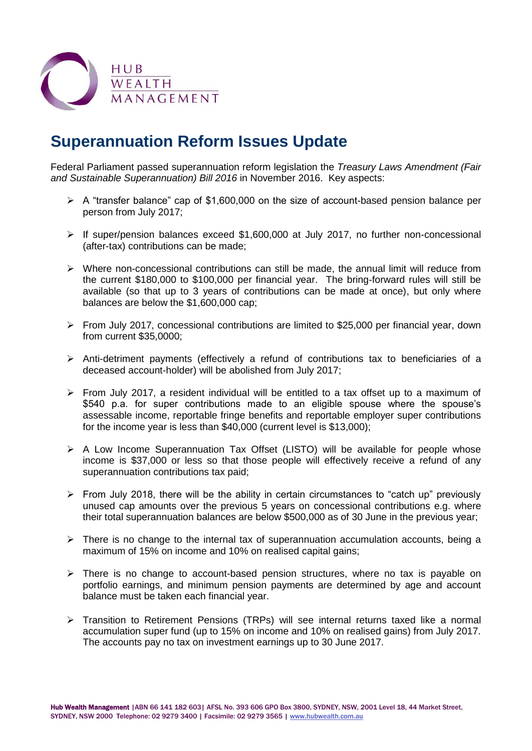

## **Superannuation Reform Issues Update**

Federal Parliament passed superannuation reform legislation the *Treasury Laws Amendment (Fair and Sustainable Superannuation) Bill 2016* in November 2016. Key aspects:

- $\triangleright$  A "transfer balance" cap of \$1,600,000 on the size of account-based pension balance per person from July 2017;
- $\triangleright$  If super/pension balances exceed \$1,600,000 at July 2017, no further non-concessional (after-tax) contributions can be made;
- $\triangleright$  Where non-concessional contributions can still be made, the annual limit will reduce from the current \$180,000 to \$100,000 per financial year. The bring-forward rules will still be available (so that up to 3 years of contributions can be made at once), but only where balances are below the \$1,600,000 cap;
- From July 2017, concessional contributions are limited to \$25,000 per financial year, down from current \$35,0000;
- $\triangleright$  Anti-detriment payments (effectively a refund of contributions tax to beneficiaries of a deceased account-holder) will be abolished from July 2017;
- $\triangleright$  From July 2017, a resident individual will be entitled to a tax offset up to a maximum of \$540 p.a. for super contributions made to an eligible spouse where the spouse's assessable income, reportable fringe benefits and reportable employer super contributions for the income year is less than \$40,000 (current level is \$13,000);
- $\triangleright$  A Low Income Superannuation Tax Offset (LISTO) will be available for people whose income is \$37,000 or less so that those people will effectively receive a refund of any superannuation contributions tax paid;
- $\triangleright$  From July 2018, there will be the ability in certain circumstances to "catch up" previously unused cap amounts over the previous 5 years on concessional contributions e.g. where their total superannuation balances are below \$500,000 as of 30 June in the previous year;
- $\triangleright$  There is no change to the internal tax of superannuation accumulation accounts, being a maximum of 15% on income and 10% on realised capital gains;
- $\triangleright$  There is no change to account-based pension structures, where no tax is payable on portfolio earnings, and minimum pension payments are determined by age and account balance must be taken each financial year.
- Transition to Retirement Pensions (TRPs) will see internal returns taxed like a normal accumulation super fund (up to 15% on income and 10% on realised gains) from July 2017. The accounts pay no tax on investment earnings up to 30 June 2017.